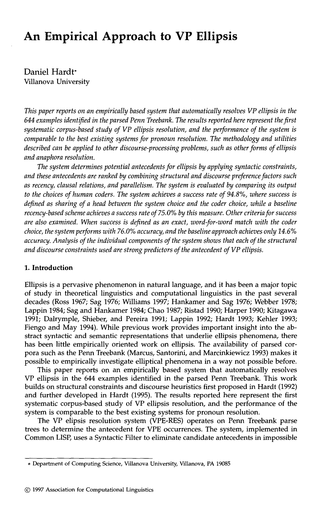# **An Empirical Approach to VP Ellipsis**

Daniel Hardt" Villanova University

*This paper reports on an empirically based system that automatically resolves VP ellipsis in the 644 examples identified in the parsed Penn Treebank. The results reported here represent the first systematic corpus-based study of VP ellipsis resolution, and the performance of the system is comparable to the best existing systems for pronoun resolution. The methodology and utilities described can be applied to other discourse-processing problems, such as other forms of ellipsis and anaphora resolution.* 

*The system determines potential antecedents for ellipsis by applying syntactic constraints, and these antecedents are ranked by combining structural and discourse preference factors such as recency, clausal relations, and parallelism. The system is evaluated by comparing its output to the choices of human coders. The system achieves a success rate of 94.8%, where success is defined as sharing of a head between the system choice and the coder choice, while a baseline*  recency-based scheme achieves a success rate of 75.0% by this measure. Other criteria for success *are also examined. When success is defined as an exact, word-for-word match with the coder choice, the system performs with 76.0% accuracy, and the baseline approach achieves only 14.6% accuracy. Analysis of the individual components of the system shows that each of the structural and discourse constraints used are strong predictors of the antecedent of VP ellipsis.* 

### **1. Introduction**

Ellipsis is a pervasive phenomenon in natural language, and it has been a major topic of study in theoretical linguistics and computational linguistics in the past several decades (Ross 1967; Sag 1976; Williams 1997; Hankamer and Sag 1976; Webber 1978; Lappin 1984; Sag and Hankamer 1984; Chao 1987; Ristad 1990; Harper 1990; Kitagawa 1991; Dalrymple, Shieber, and Pereira 1991; Lappin 1992; Hardt 1993; Kehler 1993; Fiengo and May 1994). While previous work provides important insight into the abstract syntactic and semantic representations that underlie ellipsis phenomena, there has been little empirically oriented work on ellipsis. The availability of parsed corpora such as the Penn Treebank (Marcus, Santorini, and Marcinkiewicz 1993) makes it possible to empirically investigate elliptical phenomena in a way not possible before.

This paper reports on an empirically based system that automatically resolves VP ellipsis in the 644 examples identified in the parsed Penn Treebank. This work builds on structural constraints and discourse heuristics first proposed in Hardt (1992) and further developed in Hardt (1995). The results reported here represent the first systematic corpus-based study of VP ellipsis resolution, and the performance of the system is comparable to the best existing systems for pronoun resolution.

The VP elipsis resolution system (VPE-RES) operates on Penn Treebank parse trees to determine the antecedent for VPE occurrences. The system, implemented in Common LISP, uses a Syntactic Filter to eliminate candidate antecedents in impossible

Department of Computing Science, Villanova University, Villanova, PA 19085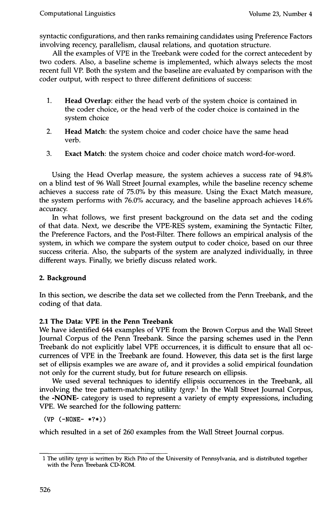syntactic configurations, and then ranks remaining candidates using Preference Factors involving recency, parallelism, clausal relations, and quotation structure.

All the examples of VPE in the Treebank were coded for the correct antecedent by two coders. Also, a baseline scheme is implemented, which always selects the most recent full VP. Both the system and the baseline are evaluated by comparison with the coder output, with respect to three different definitions of success:

- . **Head Overlap:** either the head verb of the system choice is contained in the coder choice, or the head verb of the coder choice is contained in the system choice
- 2. **Head** Match: the system choice and coder choice have the same head verb.
- 3. Exact Match: the system choice and coder choice match word-for-word.

Using the Head Overlap measure, the system achieves a success rate of 94.8% on a blind test of 96 Wall Street Journal examples, while the baseline recency scheme achieves a success rate of 75.0% by this measure. Using the Exact Match measure, the system performs with 76.0% accuracy, and the baseline approach achieves 14.6% accuracy.

In what follows, we first present background on the data set and the coding of that data. Next, we describe the VPE-RES system, examining the Syntactic Filter, the Preference Factors, and the Post-Filter. There follows an empirical analysis of the system, in which we compare the system output to coder choice, based on our three success criteria. Also, the subparts of the system are analyzed individually, in three different ways. Finally, we briefly discuss related work.

## **2. Background**

In this section, we describe the data set we collected from the Penn Treebank, and the coding of that data.

## **2.1 The Data: VPE in the Penn Treebank**

We have identified 644 examples of VPE from the Brown Corpus and the Wall Street Journal Corpus of the Penn Treebank. Since the parsing schemes used in the Penn Treebank do not explicitly label VPE occurrences, it is difficult to ensure that all occurrences of VPE in the Treebank are found. However, this data set is the first large set of ellipsis examples we are aware of, and it provides a solid empirical foundation not only for the current study, but for future research on ellipsis.

We used several techniques to identify ellipsis occurrences in the Treebank, all involving the tree pattern-matching utility *tgrep. 1* In the Wall Street Journal Corpus, the -NONE- category is used to represent a variety of empty expressions, including VPE. We searched for the following pattern:

(VP (-NONE- \*?\*))

which resulted in a set of 260 examples from the Wall Street Journal corpus.

<sup>1</sup> The utility *tgrep* is written by Rich Pito of the University of Pennsylvania, and is distributed together with the Penn Treebank CD-ROM.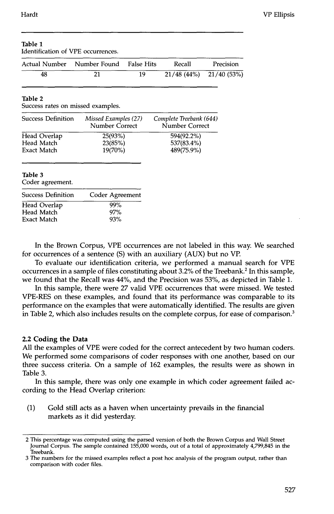Table 1

| Identification of VPE occurrences.                             |                                        |                   |                                           |             |
|----------------------------------------------------------------|----------------------------------------|-------------------|-------------------------------------------|-------------|
|                                                                | Actual Number Mumber Found             | <b>False Hits</b> | Recall                                    | Precision   |
| 48                                                             | 21                                     | 19                | 21/48(44%)                                | 21/40 (53%) |
| Table 2<br>Success rates on missed examples.                   |                                        |                   |                                           |             |
| <b>Success Definition</b>                                      | Missed Examples (27)<br>Number Correct |                   | Complete Treebank (644)<br>Number Correct |             |
| Head Overlap<br>Head Match<br>Exact Match                      | 25(93%)<br>23(85%)<br>19(70%)          |                   | 594(92.2%)<br>537(83.4%)<br>489(75.9%)    |             |
| Table 3<br>Coder agreement.                                    |                                        |                   |                                           |             |
| <b>Success Definition</b>                                      | Coder Agreement                        |                   |                                           |             |
| 99%<br>Head Overlap<br>Head Match<br>97%<br>93%<br>Exact Match |                                        |                   |                                           |             |

## In the Brown Corpus, VPE occurrences are not labeled in this way. We searched for occurrences of a sentence (S) with an auxiliary (AUX) but no VP.

To evaluate our identification criteria, we performed a manual search for VPE occurrences in a sample of files constituting about 3.2% of the Treebank. 2 In this sample, we found that the Recall was 44%, and the Precision was 53%, as depicted in Table 1.

In this sample, there were 27 valid VPE occurrences that were missed. We tested VPE-RES on these examples, and found that its performance was comparable to its performance on the examples that were automatically identified. The results are given in Table 2, which also includes results on the complete corpus, for ease of comparison.<sup>3</sup>

### **2.2 Coding the Data**

All the examples of VPE were coded for the correct antecedent by two human coders. We performed some comparisons of coder responses with one another, based on our three success criteria. On a sample of 162 examples, the results were as shown in Table 3.

In this sample, there was only one example in which coder agreement failed according to the Head Overlap criterion:

(1) Gold still acts as a haven when uncertainty prevails in the financial markets as it did yesterday.

<sup>2</sup> This percentage was computed using the parsed version of both the Brown Corpus and Wall Street Journal Corpus. The sample contained 155,000 words, out of a total of approximately 4,799,845 in the Treebank.

<sup>3</sup> The numbers for the missed examples reflect a post hoc analysis of the program output, rather than comparison with coder files.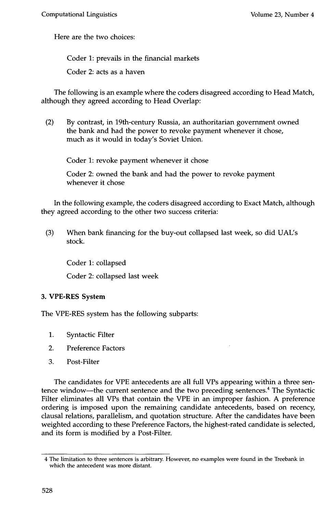Here are the two choices:

Coder 1: prevails in the financial markets

Coder 2: acts as a haven

The following is an example where the coders disagreed according to Head Match, although they agreed according to Head Overlap:

(2) By contrast, in 19th-century Russia, an authoritarian government owned the bank and had the power to revoke payment whenever it chose, much as it would in today's Soviet Union.

Coder 1: revoke payment whenever it chose

Coder 2: owned the bank and had the power to revoke payment whenever it chose

In the following example, the coders disagreed according to Exact Match, although they agreed according to the other two success criteria:

(3) When bank financing for the buy-out collapsed last week, so did UAUs stock.

Coder 1: collapsed

Coder 2: collapsed last week

## 3. VPE-RES System

The VPE-RES system has the following subparts:

- 1. Syntactic Filter
- 2. Preference Factors
- 3. Post-Filter

The candidates for VPE antecedents are all full VPs appearing within a three sentence window--the current sentence and the two preceding sentences.<sup>4</sup> The Syntactic Filter eliminates all VPs that contain the VPE in an improper fashion. A preference ordering is imposed upon the remaining candidate antecedents, based on recency, clausal relations, parallelism, and quotation structure. After the candidates have been weighted according to these Preference Factors, the highest-rated candidate is selected, and its form is modified by a Post-Filter.

<sup>4</sup> The limitation to three sentences is arbitrary. However, no examples were found in the Treebank in which the antecedent was more distant.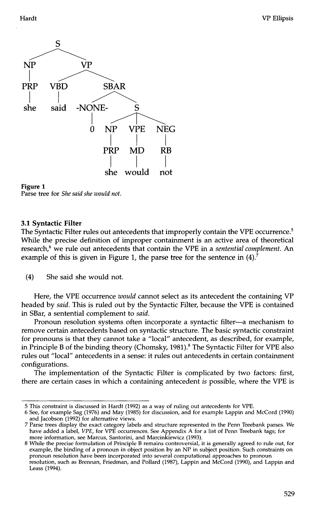



Parse tree for *She said she would not.* 

#### **3.1 Syntactic Filter**

The Syntactic Filter rules out antecedents that improperly contain the VPE occurrence.<sup>5</sup> While the precise definition of improper containment is an active area of theoretical research,<sup>6</sup> we rule out antecedents that contain the VPE in a *sentential complement*. An example of this is given in Figure 1, the parse tree for the sentence in  $(4)$ .

(4) She said she would not.

Here, the VPE occurrence *would* cannot select as its antecedent the containing VP headed by *said.* This is ruled out by the Syntactic Filter, because the VPE is contained in SBar, a sentential complement to *said.* 

Pronoun resolution systems often incorporate a syntactic filter-a mechanism to remove certain antecedents based on syntactic structure. The basic syntactic constraint for pronouns is that they cannot take a "local" antecedent, as described, for example, in Principle B of the binding theory (Chomsky, 1981).<sup>8</sup> The Syntactic Filter for VPE also rules out "local" antecedents in a sense: it rules out antecedents in certain containment configurations.

The implementation of the Syntactic Filter is complicated by two factors: first, there are certain cases in which a containing antecedent *is* possible, where the VPE is

8 While the precise formulation of Principle B remains controversial, it is generally agreed to rule out, for example, the binding of a pronoun in object position by an NP in subject position. Such constraints on pronoun resolution have been incorporated into several computational approaches to pronoun resolution, such as Brennan, Friedman, and Pollard (1987), Lappin and McCord (1990), and Lappin and Leass (1994).

<sup>5</sup> This constraint is discussed in Hardt (1992) as a way of ruling out antecedents for VPE.

<sup>6</sup> See, for example Sag (1976) and May (1985) for discussion, and for example Lappin and McCord (1990) and Jacobson (1992) for alternative views.

Parse trees display the exact category labels and structure represented in the Penn Treebank parses. We have added a label, *VPE,* for VPE occurrences. See Appendix A for a list of Penn Treebank tags; for more information, see Marcus, Santorini, and Marcinkiewicz (1993).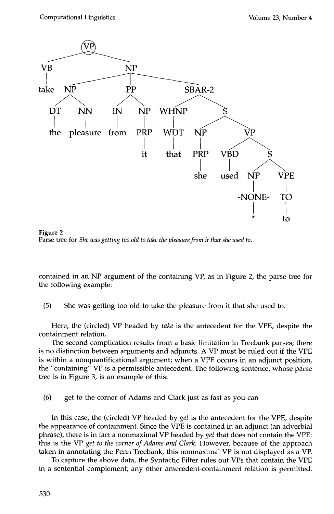

**Figure 2**  Parse tree for *She was getting too old to take the pleasure from it that she used to.* 

contained in an NP argument of the containing VP, as in Figure 2, the parse tree for the following example:

(5) She was getting too old to take the pleasure from it that she used to.

Here, the (circled) VP headed by *take* is the antecedent for the VPE, despite the containment relation.

The second complication results from a basic limitation in Treebank parses; there is no distinction between arguments and adjuncts. A VP must be ruled out if the VPE is within a nonquantificational argument; when a VPE occurs in an adjunct position, the "containing"  $VP$  is a permissible antecedent. The following sentence, whose parse tree is in Figure 3, is an example of this:

(6) get to the corner of Adams and Clark just as fast as you can

In this case, the (circled) VP headed by *get* is the antecedent for the VPE, despite the appearance of containment. Since the VPE is contained in an adjunct (an adverbial phrase), there is in fact a nonmaximal VP headed by *get* that does not contain the VPE: this is the VP *get to the corner of Adams and Clark.* However, because of the approach taken in annotating the Penn Treebank, this nonmaximal VP is not displayed as a VP.

To capture the above data, the Syntactic Filter rules out VPs that contain the VPE in a sentential complement; any other antecedent-containment relation is permitted.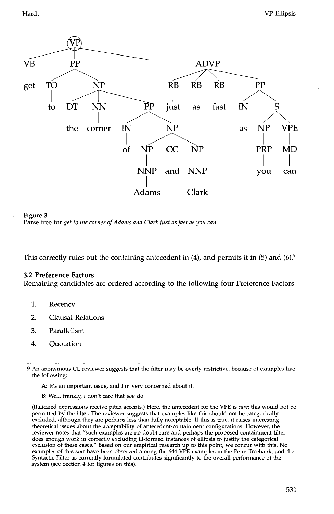



This correctly rules out the containing antecedent in (4), and permits it in (5) and (6).<sup>9</sup>

### **3.2** Preference Factors

Remaining candidates are ordered according to the following four Preference Factors:

- 1. Recency
- 2. Clausal Relations
- 3. Parallelism
- 4. Quotation

A: It's an important issue, and I'm very concerned about it.

**B:** Well, frankly, I don't care that *you* do.

(Italicized expressions receive pitch accents.) Here, the antecedent for the VPE is *care;* this would not be permitted by the filter. The reviewer suggests that examples like this should not be categorically excluded, although they are perhaps less than fully acceptable. If this is true, it raises interesting theoretical issues about the acceptability of antecedent-containment configurations. However, the reviewer notes that "such examples are no doubt rare and perhaps the proposed containment filter does enough work in correctly excluding ill-formed instances of ellipsis to justify the categorical exclusion of these cases." Based on our empirical research up to this point, we concur with this. No examples of this sort have been observed among the 644 VPE examples in the Penn Treebank, and the Syntactic Filter as currently formulated contributes significantly to the overall performance of the system (see Section 4 for figures on this).

<sup>9</sup> An anonymous CL reviewer suggests that the filter may be overly restrictive, because of examples like the following: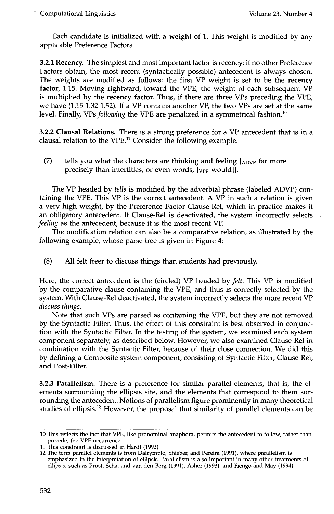Each candidate is initialized with a weight of 1. This weight is modified by any applicable Preference Factors.

3.2.1 Recency. The simplest and most important factor is recency: if no other Preference Factors obtain, the most recent (syntactically possible) antecedent is always chosen. The weights are modified as follows: the first VP weight is set to be the **recency factor,** 1.15. Moving rightward, toward the VPE, the weight of each subsequent VP is multiplied by the **recency factor.** Thus, if there are three VPs preceding the VPE, we have (1.15 1.32 1.52). If a VP contains another VP, the two VPs are set at the same level. Finally, VPs *following* the VPE are penalized in a symmetrical fashion.<sup>10</sup>

**3.2.2 Clausal Relations. There is a** strong preference for a VP antecedent that is in **a**  clausal relation to the  $VPE<sup>11</sup>$  Consider the following example:

(7) tells you what the characters are thinking and feeling  $[_{ADVP}]$  far more precisely than intertitles, or even words,  $[\text{v}_{\text{PE}}$  would]].

The VP headed by *tells* is modified by the adverbial phrase (labeled ADVP) containing the VPE. This VP is the correct antecedent. A VP in such a relation is given a very high weight, by the Preference Factor Clause-Rel, which in practice makes it an obligatory antecedent. If Clause-Rel is deactivated, the system incorrectly selects *feeling* as the antecedent, because it is the most recent VP.

The modification relation can also be a comparative relation, as illustrated by the following example, whose parse tree is given in Figure 4:

(8) All felt freer to discuss things than students had previously.

Here, the correct antecedent is the (circled) VP headed by *felt.* This VP is modified by the comparative clause containing the VPE, and thus is correctly selected by the system. With Clause-Rel deactivated, the system incorrectly selects the more recent VP *discuss things.* 

Note that such VPs are parsed as containing the VPE, but they are not removed by the Syntactic Filter. Thus, the effect of this constraint is best observed in conjunction with the Syntactic Filter. In the testing of the system, we examined each system component separately, as described below. However, we also examined Clause-Rel in combination with the Syntactic Filter, because of their close connection. We did this by defining a Composite system component, consisting of Syntactic Filter, Clause-Rel, and Post-Filter.

3.2.3 Parallelism. There is a preference for similar parallel elements, that is, the elements surrounding the ellipsis site, and the elements that correspond to them surrounding the antecedent. Notions of parallelism figure prominently in many theoretical studies of ellipsis.<sup>12</sup> However, the proposal that similarity of parallel elements can be

<sup>10</sup> This reflects the fact that VPE, like pronominal anaphora, permits the antecedent to follow, rather than precede, the VPE occurrence.

<sup>11</sup> This constraint is discussed in Hardt (1992).

<sup>12</sup> The term parallel elements is from Dalrymple, Shieber, and Pereira (1991), where parallelism is emphasized in the interpretation of ellipsis. Parallelism is also important in many other treatments of ellipsis, such as Priest, Scha, and van den Berg (1991), Asher (1993), and Fiengo and May (1994).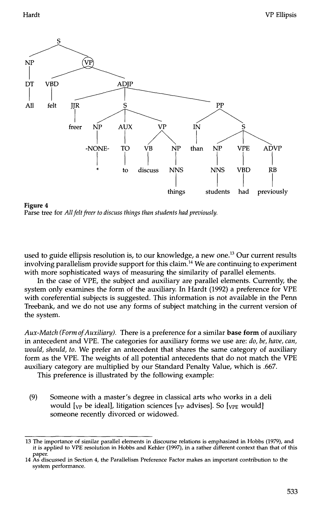

**Figure 4**  Parse tree for *All felt freer to discuss things than students had previously.* 

used to guide ellipsis resolution is, to our knowledge, a new one.<sup>13</sup> Our current results involving parallelism provide support for this claim. 14 We are continuing to experiment with more sophisticated ways of measuring the similarity of parallel elements.

In the case of VPE, the subject and auxiliary are parallel elements. Currently, the system only examines the form of the auxiliary. In Hardt (1992) a preference for VPE with coreferential subjects is suggested. This information is not available in the Penn Treebank, and we do not use any forms of subject matching in the current version of the system.

*Aux-Match (Form of Auxiliary).* There is a preference for a similar base form of auxiliary in antecedent and VPE. The categories for auxiliary forms we use are: *do, be, have, can, would, should, to.* We prefer an antecedent that shares the same category of auxiliary form as the VPE. The weights of all potential antecedents that do not match the VPE auxiliary category are multiplied by our Standard Penalty Value, which is .667.

This preference is illustrated by the following example:

(9) Someone with a master's degree in classical arts who works in a deli would  $[\nabla_{\mathbf{P}}]$  be ideal], litigation sciences  $[\nabla_{\mathbf{P}}]$  advises]. So  $[\nabla_{\mathbf{P}}]$  would someone recently divorced or widowed.

<sup>13</sup> The importance of similar parallel elements in discourse relations is emphasized in Hobbs (1979), and it is applied to VPE resolution in Hobbs and Kehler (1997), in a rather different context than that of this paper.

<sup>14</sup> As discussed in Section 4, the Parallelism Preference Factor makes an important contribution to the system performance.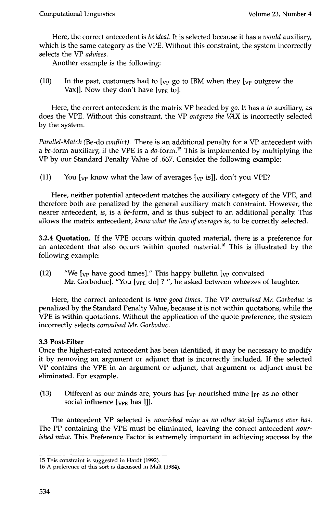Here, the correct antecedent is *be ideal.* It is selected because it has a *would* auxiliary, which is the same category as the VPE. Without this constraint, the system incorrectly selects the VP *advises.* 

Another example is the following:

(10) In the past, customers had to  $[\gamma_{P}$  go to IBM when they  $[\gamma_{P}$  outgrew the Vax]]. Now they don't have  $[\text{v}_{\text{PE}}]$  to].

Here, the correct antecedent is the matrix VP headed by *go.* It has a *to* auxiliary, as does the VPE. Without this constraint, the VP *outgrew the VAX* is incorrectly selected by the system.

*Parallel-Match* (Be-do *conflict).* There is an additional penalty for a VP antecedent with a be-form auxiliary, if the VPE is a  $do$ -form.<sup>15</sup> This is implemented by multiplying the VP by our Standard Penalty Value of .667. Consider the following example:

(11) You  $\lceil v \rceil$  know what the law of averages  $\lceil v \rceil$  is  $\lceil v \rceil$ , don't you VPE?

Here, neither potential antecedent matches the auxiliary category of the VPE, and therefore both are penalized by the general auxiliary match constraint. However, the nearer antecedent, *is,* is a be-form, and is thus subject to an additional penalty. This allows the matrix antecedent, *know what the law of averages is,* to be correctly selected.

3.2.4 Quotation. If the VPE occurs within quoted material, there is a preference for an antecedent that also occurs within quoted material.<sup>16</sup> This is illustrated by the following example:

(12) "We  $\lceil v \rceil$  have good times]." This happy bulletin  $\lceil v \rceil$  convulsed Mr. Gorboduc]. "You  $[\text{vPE}$  do] ?", he asked between wheezes of laughter.

Here, the correct antecedent is *have good times.* The VP *convulsed Mr. Gorboduc* is penalized by the Standard Penalty Value, because it is not within quotations, while the VPE is within quotations. Without the application of the quote preference, the system incorrectly selects *convulsed Mr. Gorboduc.* 

# **3.3 Post-Filter**

Once the highest-rated antecedent has been identified, it may be necessary to modify it by removing an argument or adjunct that is incorrectly included. If the selected VP contains the VPE in an argument or adjunct, that argument or adjunct must be eliminated. For example,

(13) Different as our minds are, yours has  $[\gamma_{\rm P}$  nourished mine  $[\gamma_{\rm P}]$  as no other social influence  $[\sqrt{VPE}$  has  $]$ ].

The antecedent VP selected is *nourished mine as no other social influence ever has.*  The PP containing the VPE must be eliminated, leaving the correct antecedent *nourished mine.* This Preference Factor is extremely important in achieving success by the

<sup>15</sup> This constraint is suggested in Hardt (1992).

<sup>16</sup> A preference of this sort is discussed in Malt (1984).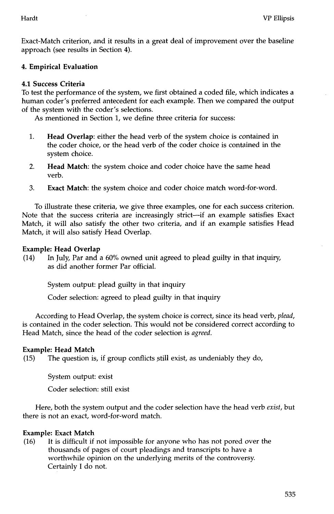Exact-Match criterion, and it results in a great deal of improvement over the baseline approach (see results in Section 4).

# **4. Empirical Evaluation**

## **4.1 Success Criteria**

To test the performance of the system, we first obtained a coded file, which indicates a human coder's preferred antecedent for each example. Then we compared the output of the system with the coder's selections.

As mentioned in Section 1, we define three criteria for success:

- . **Head Overlap:** either the head verb of the system choice is contained in the coder choice, or the head verb of the coder choice is contained in the system choice.
- 2. **Head Match:** the system choice and coder choice have the same head verb.
- 3. **Exact Match:** the system choice and coder choice match word-for-word.

To illustrate these criteria, we give three examples, one for each success criterion. Note that the success criteria are increasingly strict--if an example satisfies Exact Match, it will also satisfy the other two criteria, and if an example satisfies Head Match, it will also satisfy Head Overlap.

## **Example: Head Overlap**

(14) In July, Par and a 60% owned unit agreed to plead guilty in that inquiry, as did another former Par official.

System output: plead guilty in that inquiry

Coder selection: agreed to plead guilty in that inquiry

According to Head Overlap, the system choice is correct, since its head verb, *plead,*  is contained in the coder selection. This would not be considered correct according to Head Match, since the head of the coder selection is *agreed.* 

## **Example: Head Match**

(15) The question is, if group conflicts still exist, as undeniably they do,

System output: exist

Coder selection: still exist

Here, both the system output and the coder selection have the head verb *exist,* but there is not an exact, word-for-word match.

# **Example: Exact Match**

(16) It is difficult if not impossible for anyone who has not pored over the thousands of pages of court pleadings and transcripts to have a worthwhile opinion on the underlying merits of the controversy. Certainly I do not.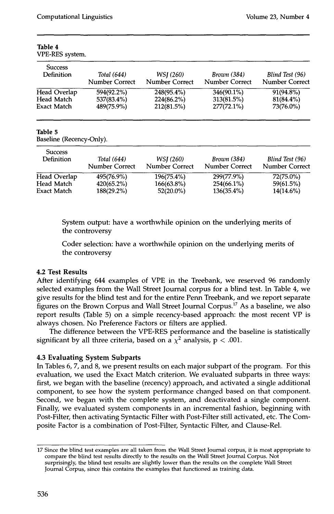| Total (644)           | WSJ (260)      | Brown (384)           | Blind Test (96) |
|-----------------------|----------------|-----------------------|-----------------|
| <b>Number Correct</b> | Number Correct | <b>Number Correct</b> | Number Correct  |
| 594(92.2%)            | 248(95.4%)     | 346(90.1%)            | 91(94.8%)       |
| 537(83.4%)            | 224(86.2%)     | 313(81.5%)            | $81(84.4\%)$    |
| 489(75.9%)            | 212(81.5%)     | $277(72.1\%)$         | 73(76.0%)       |
|                       |                |                       |                 |

#### **Table 4**  VPE-RES system.

#### **Table 5**

Baseline (Recency-Only).

| <b>Success</b><br><b>Definition</b> | Total (644)<br>Number Correct | WSI (260)<br><b>Number Correct</b> | <i>Brown</i> (384)<br><b>Number Correct</b> | Blind Test (96)<br>Number Correct |
|-------------------------------------|-------------------------------|------------------------------------|---------------------------------------------|-----------------------------------|
| Head Overlap                        | 495(76.9%)                    | 196(75.4%)                         | 299(77.9%)                                  | 72(75.0%)                         |
| Head Match                          | 420(65.2%)                    | $166(63.8\%)$                      | 254(66.1%)                                  | 59(61.5%)                         |
| Exact Match                         | $188(29.2\%)$                 | $52(20.0\%)$                       | 136(35.4%)                                  | $14(14.6\%)$                      |

System output: have a worthwhile opinion on the underlying merits of the controversy

Coder selection: have a worthwhile opinion on the underlying merits of the controversy

## **4.2 Test Results**

After identifying 644 examples of VPE in the Treebank, we reserved 96 randomly selected examples from the Wall Street Journal corpus for a blind test. In Table 4, we give results for the blind test and for the entire Penn Treebank, and we report separate figures on the Brown Corpus and Wall Street Journal Corpus.<sup>17</sup> As a baseline, we also report results (Table 5) on a simple recency-based approach: the most recent VP is always chosen. No Preference Factors or filters are applied.

The difference between the VPE-RES performance and the baseline is statistically significant by all three criteria, based on a  $\chi^2$  analysis, p < .001.

# **4.3 Evaluating System Subparts**

In Tables 6, 7, and 8, we present results on each major subpart of the program. For this evaluation, we used the Exact Match criterion. We evaluated subparts in three ways: first, we began with the baseline (recency) approach, and activated a single additional component, to see how the system performance changed based on that component. Second, we began with the complete system, and deactivated a single component. Finally, we evaluated system components in an incremental fashion, beginning with Post-Filter, then activating Syntactic Filter with Post-Filter still activated, etc. The Composite Factor is a combination of Post-Filter, Syntactic Filter, and Clause-Rel.

<sup>17</sup> Since the blind test examples are all taken from the Wall Street Journal corpus, it is most appropriate to compare the blind test results directly to the results on the Wall Street Journal Corpus. Not surprisingly, the blind test results are slightly lower than the results on the complete Wall Street Journal Corpus, since this contains the examples that functioned as training data.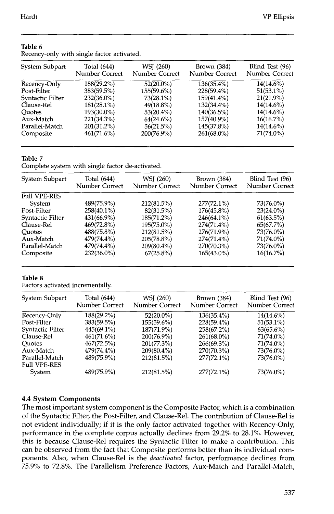| System Subpart   | Total (644)<br><b>Number Correct</b> | WSJ (260)<br>Number Correct | Brown $(384)$<br>Number Correct | Blind Test (96)<br>Number Correct |
|------------------|--------------------------------------|-----------------------------|---------------------------------|-----------------------------------|
| Recency-Only     | 188(29.2%)                           | $52(20.0\%)$                | $136(35.4\%)$                   | 14(14.6%)                         |
| Post-Filter      | 383(59.5%)                           | 155(59.6%)                  | 228(59.4%)                      | $51(53.1\%)$                      |
| Syntactic Filter | 232(36.0%)                           | 73(28.1%)                   | 159(41.4%)                      | $21(21.9\%)$                      |
| Clause-Rel       | $181(28.1\%)$                        | $49(18.8\%)$                | 132(34.4%)                      | 14(14.6%)                         |
| Ouotes           | 193(30.0%)                           | $53(20.4\%)$                | $140(36.5\%)$                   | 14(14.6%)                         |
| Aux-Match        | 221(34.3%)                           | $64(24.6\%)$                | 157(40.9%)                      | $16(16.7\%)$                      |
| Parallel-Match   | $201(31.2\%)$                        | 56(21.5%)                   | 145(37.8%)                      | $14(14.6\%)$                      |
| Composite        | 461(71.6%)                           | 200(76.9%)                  | 261(68.0%)                      | 71(74.0%)                         |
|                  |                                      |                             |                                 |                                   |

#### **Table 6**

Recency-only with single factor activated.

## **Table 7**

Complete system with single factor de-activated.

| System Subpart      | Total (644)<br>Number Correct | WSJ (260)<br>Number Correct | Brown $(384)$<br>Number Correct | Blind Test (96)<br>Number Correct |
|---------------------|-------------------------------|-----------------------------|---------------------------------|-----------------------------------|
| <b>Full VPE-RES</b> |                               |                             |                                 |                                   |
| System              | 489(75.9%)                    | 212(81.5%)                  | $277(72.1\%)$                   | 73(76.0%)                         |
| Post-Filter         | 258(40.1%)                    | 82(31.5%)                   | 176(45.8%)                      | $23(24.0\%)$                      |
| Syntactic Filter    | 431(66.9%)                    | 185(71.2%)                  | 246(64.1%)                      | 61(63.5%)                         |
| Clause-Rel          | 469(72.8%)                    | 195(75.0%)                  | 274(71.4%)                      | 65(67.7%)                         |
| <b>Quotes</b>       | 488(75.8%)                    | 212(81.5%)                  | 276(71.9%)                      | 73(76.0%)                         |
| Aux-Match           | 479(74.4%)                    | 205(78.8%)                  | 274(71.4%)                      | 71(74.0%)                         |
| Parallel-Match      | 479(74.4%)                    | 209(80.4%)                  | 270(70.3%)                      | 73(76.0%)                         |
| Composite           | 232(36.0%)                    | $67(25.8\%)$                | $165(43.0\%)$                   | 16(16.7%)                         |

### **Table 8**

Factors activated incrementally.

| System Subpart                        | Total $(644)$  | WSJ (260)      | Brown $(384)$  | Blind Test (96) |
|---------------------------------------|----------------|----------------|----------------|-----------------|
|                                       | Number Correct | Number Correct | Number Correct | Number Correct  |
| Recency-Only                          | 188(29.2%)     | $52(20.0\%)$   | $136(35.4\%)$  | $14(14.6\%)$    |
| Post-Filter                           | $383(59.5\%)$  | 155(59.6%)     | 228(59.4%)     | 51(53.1%)       |
| Syntactic Filter                      | 445(69.1%)     | 187(71.9%)     | 258(67.2%)     | $63(65.6\%)$    |
| Clause-Rel                            | 461(71.6%)     | 200(76.9%)     | $261(68.0\%)$  | 71(74.0%)       |
| <b>Ouotes</b>                         | 467(72.5%)     | 201(77.3%)     | 266(69.3%)     | 71(74.0%)       |
| Aux-Match                             | 479(74.4%)     | 209(80.4%)     | 270(70.3%)     | 73(76.0%)       |
| Parallel-Match<br><b>Full VPE-RES</b> | 489(75.9%)     | 212(81.5%)     | $277(72.1\%)$  | 73(76.0%)       |
| System                                | 489(75.9%)     | 212(81.5%)     | $277(72.1\%)$  | 73(76.0%)       |

## **4.4 System Components**

The most important system component is the Composite Factor, which is a combination of the Syntactic Filter, the Post-Filter, and Clause-Rel. The contribution of Clause-Rel is not evident individually; if it is the only factor activated together with Recency-Only, performance in the complete corpus actually declines from 29.2% to 28.1%. However, this is because Clause-Rel requires the Syntactic Filter to make a contribution. This can be observed from the fact that Composite performs better than its individual components. Also, when Clause-Rel is the *deactivated* factor, performance declines from 75.9% to 72.8%. The Parallelism Preference Factors, Aux-Match and Parallel-Match,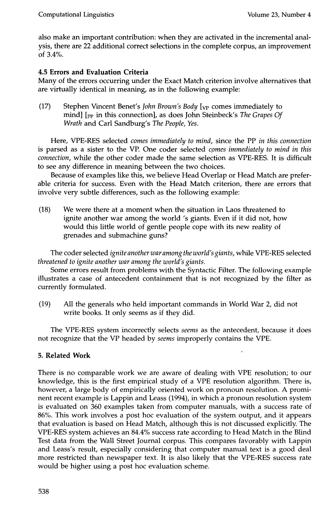also make an important contribution: when they are activated in the incremental analysis, there are 22 additional correct selections in the complete corpus, an improvement of 3.4%.

# **4.5 Errors and Evaluation Criteria**

Many of the errors occurring under the Exact Match criterion involve alternatives that are virtually identical in meaning, as in the following example:

(17) Stephen Vincent Benet's *John Brown's Body* [<sub>VP</sub> comes immediately to mind] [pp in this connection], as does John Steinbeck's *The Grapes Of Wrath* and Carl Sandburg's *The People, Yes.* 

Here, VPE-RES selected *comes immediately to mind,* since the PP *in this connection*  is parsed as a sister to the VP. One coder selected *comes immediately to mind in this connection,* while the other coder made the same selection as VPE-RES. It is difficult to see any difference in meaning between the two choices.

Because of examples like this, we believe Head Overlap or Head Match are preferable criteria for success. Even with the Head Match criterion, there are errors that involve very subtle differences, such as the following example:

(18) We were there at a moment when the situation in Laos threatened to ignite another war among the world's giants. Even if it did not, how would this little world of gentle people cope with its new reality of grenades and submachine guns?

The coder selected *ignite another war among the world's giants,* while VPE-RES selected *threatened to ignite another war among the world's giants.* 

Some errors result from problems with the Syntactic Filter. The following example illustrates a case of antecedent containment that is not recognized by the filter as currently formulated.

(19) All the generals who held important commands in World War 2, did not write books. It only seems as if they did.

The VPE-RES system incorrectly selects *seems* as the antecedent, because it does not recognize that the VP headed by *seems* improperly contains the VPE.

# **5. Related Work**

There is no comparable work we are aware of dealing with VPE resolution; to our knowledge, this is the first empirical study of a VPE resolution algorithm. There is, however, a large body of empirically oriented work on pronoun resolution. A prominent recent example is Lappin and Leass (1994), in which a pronoun resolution system is evaluated on 360 examples taken from computer manuals, with a success rate of 86%. This work involves a post hoc evaluation of the system output, and it appears that evaluation is based on Head Match, although this is not discussed explicitly. The VPE-RES system achieves an 84.4% success rate according to Head Match in the Blind Test data from the Wall Street Journal corpus. This compares favorably with Lappin and Leass's result, especially considering that computer manual text is a good deal more restricted than newspaper text. It is also likely that the VPE-RES success rate would be higher using a post hoc evaluation scheme.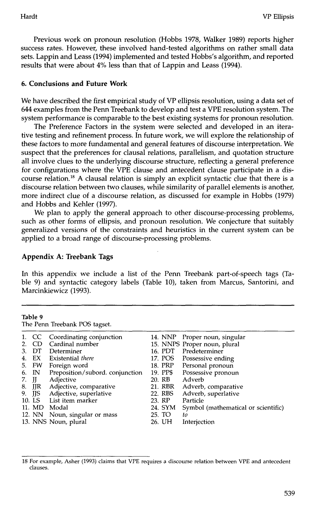Previous work on pronoun resolution (Hobbs 1978, Walker 1989) reports higher success rates. However, these involved hand-tested algorithms on rather small data sets. Lappin and Leass (1994) implemented and tested Hobbs's algorithm, and reported results that were about 4% less than that of Lappin and Leass (1994).

## **6. Conclusions and Future Work**

We have described the first empirical study of VP ellipsis resolution, using a data set of 644 examples from the Penn Treebank to develop and test a VPE resolution system. The system performance is comparable to the best existing systems for pronoun resolution.

The Preference Factors in the system were selected and developed in an iterative testing and refinement process. In future work, we will explore the relationship of these factors to more fundamental and general features of discourse interpretation. We suspect that the preferences for clausal relations, parallelism, and quotation structure all involve clues to the underlying discourse structure, reflecting a general preference for configurations where the VPE clause and antecedent clause participate in a discourse relation.<sup>18</sup> A clausal relation is simply an explicit syntactic clue that there is a discourse relation between two clauses, while similarity of parallel elements is another, more indirect clue of a discourse relation, as discussed for example in Hobbs (1979) and Hobbs and Kehler (1997).

We plan to apply the general approach to other discourse-processing problems, such as other forms of ellipsis, and pronoun resolution. We conjecture that suitably generalized versions of the constraints and heuristics in the current system can be applied to a broad range of discourse-processing problems.

## **Appendix A: Treebank Tags**

In this appendix we include a list of the Penn Treebank part-of-speech tags (Table 9) and syntactic category labels (Table 10), taken from Marcus, Santorini, and Marcinkiewicz (1993).

|       | Table 9 | The Penn Treebank POS tagset.   |          |                                     |
|-------|---------|---------------------------------|----------|-------------------------------------|
|       | 1. CC   | Coordinating conjunction        | 14. NNP  | Proper noun, singular               |
| 2.    | CD.     | Cardinal number                 |          | 15. NNPS Proper noun, plural        |
| 3.    |         | DT Determiner                   | 16. PDT  | Predeterminer                       |
| 4.    |         | EX Existential there            | 17. POS  | Possessive ending                   |
|       | 5. FW   | Foreign word                    | 18. PRP  | Personal pronoun                    |
| 6.    | IN      | Preposition/subord. conjunction | 19. PP\$ | Possessive pronoun                  |
| 7. JJ |         | Adjective                       | 20. RB   | Adverb                              |
|       |         | 8. JJR Adjective, comparative   | 21. RBR  | Adverb, comparative                 |
| 9.    | JJS     | Adjective, superlative          | 22. RBS  | Adverb, superlative                 |
|       |         | 10. LS List item marker         | 23. RP   | Particle                            |
|       |         | 11. MD Modal                    | 24. SYM  | Symbol (mathematical or scientific) |
|       |         | 12. NN Noun, singular or mass   | 25. TO   | to                                  |
|       |         | 13. NNS Noun, plural            | 26. UH   | Interjection                        |

<sup>18</sup> For example, Asher (1993) claims that VPE requires a discourse relation between VPE and antecedent clauses.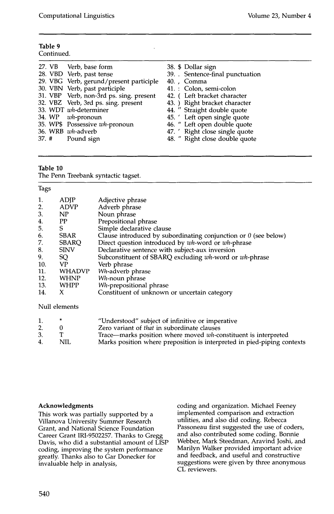| Table 9    |
|------------|
| Continued. |

| 27. VB Verb, base form                  | 38. \$ Dollar sign             |
|-----------------------------------------|--------------------------------|
| 28. VBD Verb, past tense                | 39. Sentence-final punctuation |
| 29. VBG Verb, gerund/present participle | 40., Comma                     |
| 30. VBN Verb, past participle           | 41. : Colon, semi-colon        |
| 31. VBP Verb, non-3rd ps. sing. present | 42. (Left bracket character    |
| 32. VBZ Verb, 3rd ps. sing. present     | 43. ) Right bracket character  |
| 33. WDT wh-determiner                   | 44. " Straight double quote    |
| 34. WP <i>wh</i> -pronoun               | 45. 'Left open single quote    |
| 35. WP\$ Possessive wh-pronoun          | 46. " Left open double quote   |
| 36. WRB wh-adverb                       | 47. ' Right close single quote |
| 37. # Pound sign                        | 48. " Right close double quote |
|                                         |                                |

#### **Table 10**

The Penn Treebank syntactic tagset.

#### Tags

| 1.  | ADJP          | Adjective phrase                                                       |
|-----|---------------|------------------------------------------------------------------------|
| 2.  | ADVP          | Adverb phrase                                                          |
| 3.  | NP            | Noun phrase                                                            |
| 4.  | PP            | Prepositional phrase                                                   |
| 5.  | S             | Simple declarative clause                                              |
| 6.  | <b>SBAR</b>   | Clause introduced by subordinating conjunction or $\theta$ (see below) |
| 7.  | <b>SBARQ</b>  | Direct question introduced by wh-word or wh-phrase                     |
| 8.  | <b>SINV</b>   | Declarative sentence with subject-aux inversion                        |
| 9.  | SQ.           | Subconstituent of SBARQ excluding wh-word or wh-phrase                 |
| 10. | VP            | Verb phrase                                                            |
| 11. | <b>WHADVP</b> | Wh-adverb phrase                                                       |
| 12. | WHNP          | Wh-noun phrase                                                         |
| 13. | WHPP          | Wh-prepositional phrase                                                |
| 14. | x             | Constituent of unknown or uncertain category                           |

Null elements

|    | *    | "Understood" subject of infinitive or imperative                        |
|----|------|-------------------------------------------------------------------------|
|    |      | Zero variant of <i>that</i> in subordinate clauses                      |
| 3. |      | Trace—marks position where moved wh-constituent is interpreted          |
| 4. | NIL. | Marks position where preposition is interpreted in pied-piping contexts |

#### **Acknowledgments**

This work was partially supported by a Villanova University Summer Research Grant, and National Science Foundation Career Grant IRI-9502257. Thanks to Gregg Davis, who did a substantial amount of LISP coding, improving the system performance greatly. Thanks also to Gar Donecker for invaluable help in analysis,

coding and organization. Michael Feeney implemented comparison and extraction utilities, and also did coding. Rebecca Passoneau first suggested the use of coders, and also contributed some coding. Bonnie Webber, Mark Steedman, Aravind Joshi, and Marilyn Walker provided important advice and feedback, and useful and constructive suggestions were given by three anonymous CL reviewers.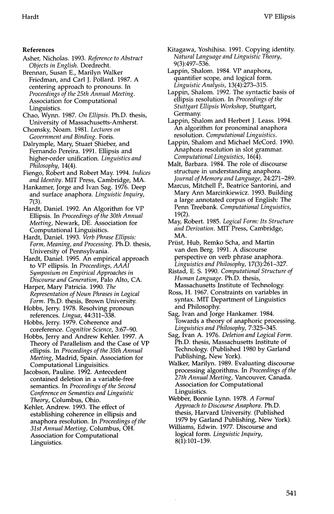#### **References**

- Asher, Nicholas. 1993. *Reference to Abstract Objects in English.* Dordrecht.
- Brennan, Susan E., Marilyn Walker Friedman, and Carl J. Pollard. 1987. A centering approach to pronouns. In *Proceedings of the 25th Annual Meeting.*  Association for Computational Linguistics.
- Chao, Wynn. 1987. *On Ellipsis.* Ph.D. thesis, University of Massachusetts-Amherst.
- Chomsky, Noam. 1981. *Lectures on Government and Binding.* Foris.
- Dalrymple, Mary, Stuart Shieber, and Fernando Pereira. 1991. Ellipsis and higher-order unification. *Linguistics and Philosophy,* 14(4).
- Fiengo, Robert and Robert May. 1994. *Indices and Identity.* MIT Press, Cambridge, MA.
- Hankamer, Jorge and Ivan Sag. 1976. Deep and surface anaphora. *Linguistic Inquiry,*  7(3).
- Hardt, Daniel. 1992. An Algorithm for VP Ellipsis. In *Proceedings of the 30th Annual Meeting,* Newark, DE. Association for Computational Linguisitics.
- Hardt, Daniel. 1993. *Verb Phrase Ellipsis: Form, Meaning, and Processing.* Ph.D. thesis, University of Pennsylvania.
- Hardt, Daniel. 1995. An empirical approach to VP ellipsis. In *Proceedings, AAAI Symposium on Empirical Approaches in Discourse and Generation,* Palo Alto, CA.
- Harper, Mary Patricia. 1990. *The Representation of Noun Phrases in Logical Form.* Ph.D. thesis, Brown University.
- Hobbs, Jerry. 1978. Resolving pronoun references. *Lingua,* 44:311-338.
- Hobbs, Jerry. 1979. Coherence and coreference. *Cognitive Science,* 3:67-90.
- Hobbs, Jerry and Andrew Kehler. 1997. A Theory of Parallelism and the Case of VP ellipsis. In *Proceedings of the 35th Annual Meeting,* Madrid, Spain. Association for Computational Linguisitics.
- Jacobson, Pauline. 1992. Antecedent contained deletion in a variable-free semantics. In *Proceedings of the Second Conference on Semantics and Linguistic Theory,* Columbus, Ohio.
- Kehler, Andrew. 1993. The effect of establishing coherence in ellipsis and anaphora resolution. In *Proceedings of the 31st Annual Meeting,* Columbus, OH. Association for Computational Linguistics.
- Kitagawa, Yoshihisa. 1991. Copying identity. *Natural Language and Linguistic Theory,*  9(3):497-536.
- Lappin, Shalom. 1984. VP anaphora, quantifier scope, and logical form. *Linguistic Analysis,* 13(4):273-315.
- Lappin, Shalom. 1992. The syntactic basis of ellipsis resolution. In *Proceedings of the Stuttgart Ellipsis Workshop,* Stuttgart, Germany.
- Lappin, Shalom and Herbert J. Leass. 1994. An algorithm for pronominal anaphora resolution. *Computational Linguistics.*
- Lappin, Shalom and Michael McCord. 1990. Anaphora resolution in slot grammar. *Computational Linguistics,* 16(4).
- Malt, Barbara. 1984. The role of discourse structure in understanding anaphora. *Journal of Memory and Language,* 24:271-289.
- Marcus, Mitchell P., Beatrice Santorini, and Mary Ann Marcinkiewicz. 1993. Building a large annotated corpus of English: The Penn Treebank. *Computational Linguistics,*  19(2).
- May, Robert. 1985. *Logical Form: Its Structure and Derivation.* MIT Press, Cambridge, MA.
- Priist, Hub, Remko Scha, and Martin van den Berg. 1991. A discourse perspective on verb phrase anaphora. *Linguistics and Philosophy,* 17(3):261-327.
- Ristad, E. S. 1990. *Computational Structure of Human Language.* Ph.D. thesis, Massachusetts Institute of Technology.
- Ross, H. 1967. Constraints on variables in syntax. MIT Department of Linguistics and Philosophy.
- Sag, Ivan and Jorge Hankamer. 1984. Towards a theory of anaphoric processing. *Linguistics and Philosophy,* 7:325-345.
- Sag, Ivan A. 1976. *Deletion and Logical Form.*  Ph.D. thesis, Massachusetts Institute of Technology. (Published 1980 by Garland Publishing, New York).
- Walker, Marilyn. 1989. Evaluating discourse processing algorithms. In *Proceedings of the 27th Annual Meeting,* Vancouver, Canada. Association for Computational Linguistics.
- Webber, Bonnie Lynn. 1978. *A Formal Approach to Discourse Anaphora.* Ph.D. thesis, Harvard University. (Published 1979 by Garland Publishing, New York).
- Williams, Edwin. 1977. Discourse and logical form. *Linguistic Inquiry,*  8(1):101-139.